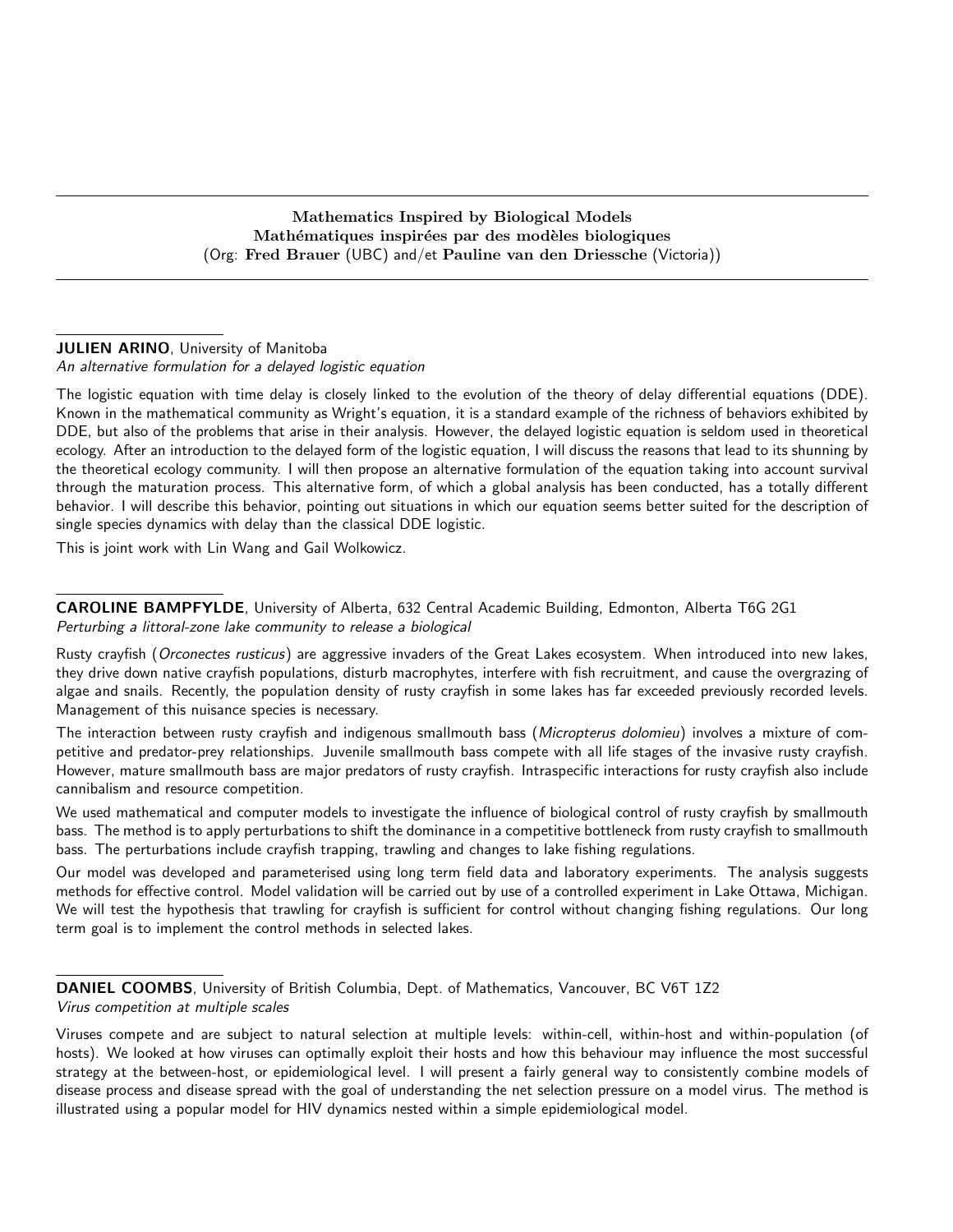Mathematics Inspired by Biological Models Mathématiques inspirées par des modèles biologiques (Org: Fred Brauer (UBC) and/et Pauline van den Driessche (Victoria))

# **JULIEN ARINO, University of Manitoba**

An alternative formulation for a delayed logistic equation

The logistic equation with time delay is closely linked to the evolution of the theory of delay differential equations (DDE). Known in the mathematical community as Wright's equation, it is a standard example of the richness of behaviors exhibited by DDE, but also of the problems that arise in their analysis. However, the delayed logistic equation is seldom used in theoretical ecology. After an introduction to the delayed form of the logistic equation, I will discuss the reasons that lead to its shunning by the theoretical ecology community. I will then propose an alternative formulation of the equation taking into account survival through the maturation process. This alternative form, of which a global analysis has been conducted, has a totally different behavior. I will describe this behavior, pointing out situations in which our equation seems better suited for the description of single species dynamics with delay than the classical DDE logistic.

This is joint work with Lin Wang and Gail Wolkowicz.

CAROLINE BAMPFYLDE, University of Alberta, 632 Central Academic Building, Edmonton, Alberta T6G 2G1 Perturbing a littoral-zone lake community to release a biological

Rusty crayfish (Orconectes rusticus) are aggressive invaders of the Great Lakes ecosystem. When introduced into new lakes, they drive down native crayfish populations, disturb macrophytes, interfere with fish recruitment, and cause the overgrazing of algae and snails. Recently, the population density of rusty crayfish in some lakes has far exceeded previously recorded levels. Management of this nuisance species is necessary.

The interaction between rusty crayfish and indigenous smallmouth bass (Micropterus dolomieu) involves a mixture of competitive and predator-prey relationships. Juvenile smallmouth bass compete with all life stages of the invasive rusty crayfish. However, mature smallmouth bass are major predators of rusty crayfish. Intraspecific interactions for rusty crayfish also include cannibalism and resource competition.

We used mathematical and computer models to investigate the influence of biological control of rusty crayfish by smallmouth bass. The method is to apply perturbations to shift the dominance in a competitive bottleneck from rusty crayfish to smallmouth bass. The perturbations include crayfish trapping, trawling and changes to lake fishing regulations.

Our model was developed and parameterised using long term field data and laboratory experiments. The analysis suggests methods for effective control. Model validation will be carried out by use of a controlled experiment in Lake Ottawa, Michigan. We will test the hypothesis that trawling for crayfish is sufficient for control without changing fishing regulations. Our long term goal is to implement the control methods in selected lakes.

DANIEL COOMBS, University of British Columbia, Dept. of Mathematics, Vancouver, BC V6T 1Z2 Virus competition at multiple scales

Viruses compete and are subject to natural selection at multiple levels: within-cell, within-host and within-population (of hosts). We looked at how viruses can optimally exploit their hosts and how this behaviour may influence the most successful strategy at the between-host, or epidemiological level. I will present a fairly general way to consistently combine models of disease process and disease spread with the goal of understanding the net selection pressure on a model virus. The method is illustrated using a popular model for HIV dynamics nested within a simple epidemiological model.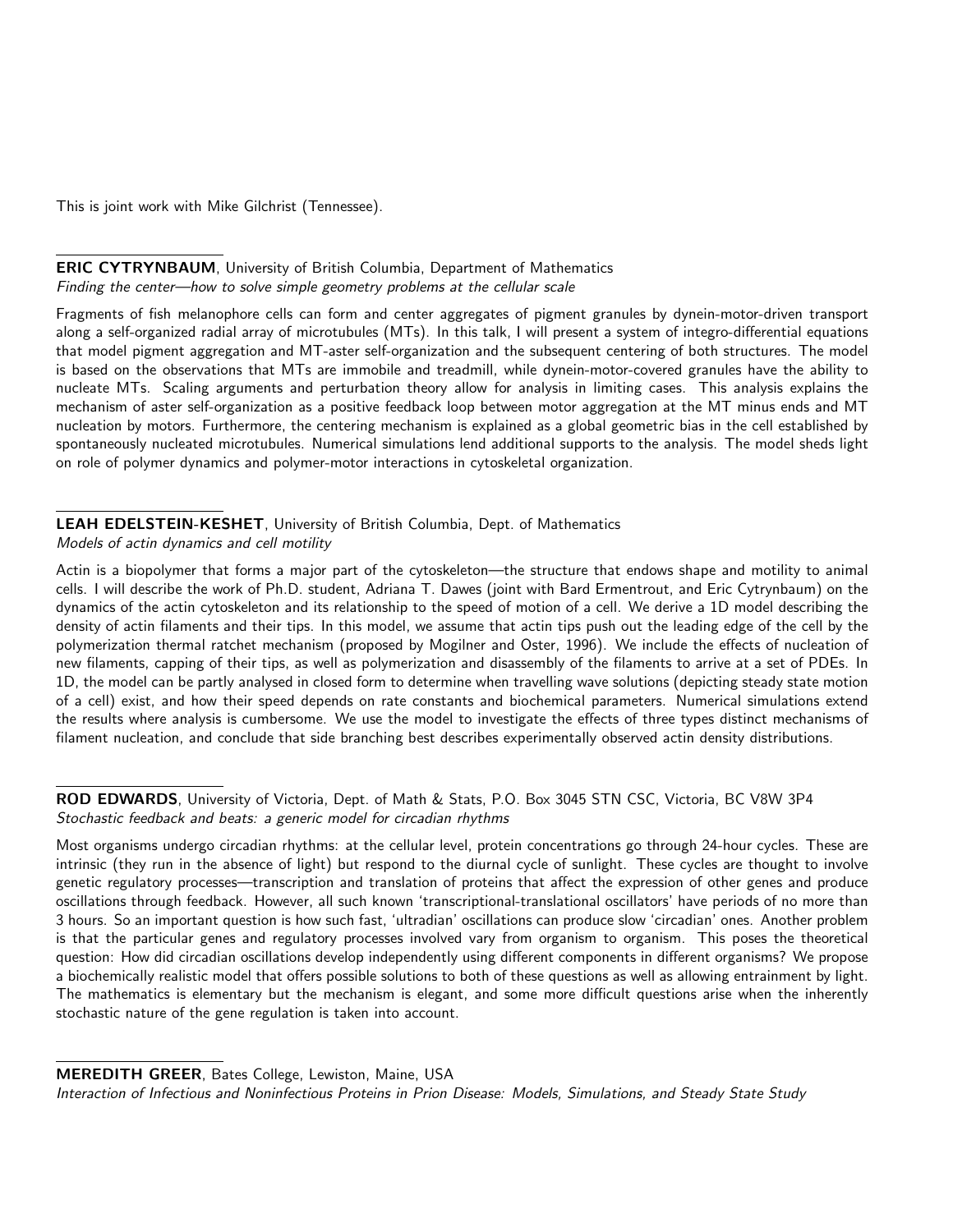This is joint work with Mike Gilchrist (Tennessee).

## ERIC CYTRYNBAUM, University of British Columbia, Department of Mathematics Finding the center—how to solve simple geometry problems at the cellular scale

Fragments of fish melanophore cells can form and center aggregates of pigment granules by dynein-motor-driven transport along a self-organized radial array of microtubules (MTs). In this talk, I will present a system of integro-differential equations that model pigment aggregation and MT-aster self-organization and the subsequent centering of both structures. The model is based on the observations that MTs are immobile and treadmill, while dynein-motor-covered granules have the ability to nucleate MTs. Scaling arguments and perturbation theory allow for analysis in limiting cases. This analysis explains the mechanism of aster self-organization as a positive feedback loop between motor aggregation at the MT minus ends and MT nucleation by motors. Furthermore, the centering mechanism is explained as a global geometric bias in the cell established by spontaneously nucleated microtubules. Numerical simulations lend additional supports to the analysis. The model sheds light on role of polymer dynamics and polymer-motor interactions in cytoskeletal organization.

# LEAH EDELSTEIN-KESHET, University of British Columbia, Dept. of Mathematics

Models of actin dynamics and cell motility

Actin is a biopolymer that forms a major part of the cytoskeleton—the structure that endows shape and motility to animal cells. I will describe the work of Ph.D. student, Adriana T. Dawes (joint with Bard Ermentrout, and Eric Cytrynbaum) on the dynamics of the actin cytoskeleton and its relationship to the speed of motion of a cell. We derive a 1D model describing the density of actin filaments and their tips. In this model, we assume that actin tips push out the leading edge of the cell by the polymerization thermal ratchet mechanism (proposed by Mogilner and Oster, 1996). We include the effects of nucleation of new filaments, capping of their tips, as well as polymerization and disassembly of the filaments to arrive at a set of PDEs. In 1D, the model can be partly analysed in closed form to determine when travelling wave solutions (depicting steady state motion of a cell) exist, and how their speed depends on rate constants and biochemical parameters. Numerical simulations extend the results where analysis is cumbersome. We use the model to investigate the effects of three types distinct mechanisms of filament nucleation, and conclude that side branching best describes experimentally observed actin density distributions.

ROD EDWARDS, University of Victoria, Dept. of Math & Stats, P.O. Box 3045 STN CSC, Victoria, BC V8W 3P4 Stochastic feedback and beats: a generic model for circadian rhythms

Most organisms undergo circadian rhythms: at the cellular level, protein concentrations go through 24-hour cycles. These are intrinsic (they run in the absence of light) but respond to the diurnal cycle of sunlight. These cycles are thought to involve genetic regulatory processes—transcription and translation of proteins that affect the expression of other genes and produce oscillations through feedback. However, all such known 'transcriptional-translational oscillators' have periods of no more than 3 hours. So an important question is how such fast, 'ultradian' oscillations can produce slow 'circadian' ones. Another problem is that the particular genes and regulatory processes involved vary from organism to organism. This poses the theoretical question: How did circadian oscillations develop independently using different components in different organisms? We propose a biochemically realistic model that offers possible solutions to both of these questions as well as allowing entrainment by light. The mathematics is elementary but the mechanism is elegant, and some more difficult questions arise when the inherently stochastic nature of the gene regulation is taken into account.

MEREDITH GREER, Bates College, Lewiston, Maine, USA

Interaction of Infectious and Noninfectious Proteins in Prion Disease: Models, Simulations, and Steady State Study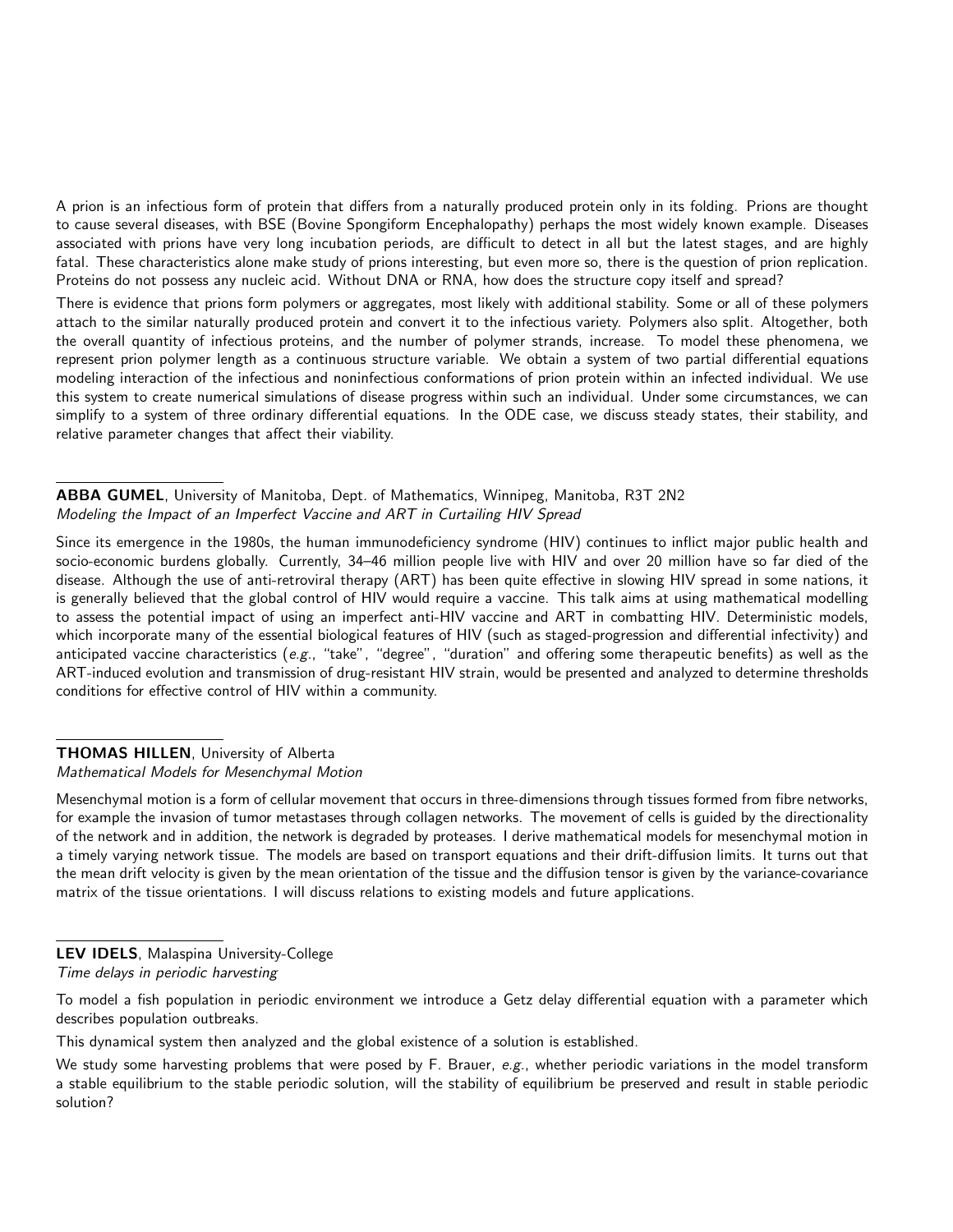A prion is an infectious form of protein that differs from a naturally produced protein only in its folding. Prions are thought to cause several diseases, with BSE (Bovine Spongiform Encephalopathy) perhaps the most widely known example. Diseases associated with prions have very long incubation periods, are difficult to detect in all but the latest stages, and are highly fatal. These characteristics alone make study of prions interesting, but even more so, there is the question of prion replication. Proteins do not possess any nucleic acid. Without DNA or RNA, how does the structure copy itself and spread?

There is evidence that prions form polymers or aggregates, most likely with additional stability. Some or all of these polymers attach to the similar naturally produced protein and convert it to the infectious variety. Polymers also split. Altogether, both the overall quantity of infectious proteins, and the number of polymer strands, increase. To model these phenomena, we represent prion polymer length as a continuous structure variable. We obtain a system of two partial differential equations modeling interaction of the infectious and noninfectious conformations of prion protein within an infected individual. We use this system to create numerical simulations of disease progress within such an individual. Under some circumstances, we can simplify to a system of three ordinary differential equations. In the ODE case, we discuss steady states, their stability, and relative parameter changes that affect their viability.

ABBA GUMEL, University of Manitoba, Dept. of Mathematics, Winnipeg, Manitoba, R3T 2N2 Modeling the Impact of an Imperfect Vaccine and ART in Curtailing HIV Spread

Since its emergence in the 1980s, the human immunodeficiency syndrome (HIV) continues to inflict major public health and socio-economic burdens globally. Currently, 34–46 million people live with HIV and over 20 million have so far died of the disease. Although the use of anti-retroviral therapy (ART) has been quite effective in slowing HIV spread in some nations, it is generally believed that the global control of HIV would require a vaccine. This talk aims at using mathematical modelling to assess the potential impact of using an imperfect anti-HIV vaccine and ART in combatting HIV. Deterministic models, which incorporate many of the essential biological features of HIV (such as staged-progression and differential infectivity) and anticipated vaccine characteristics (e.g., "take", "degree", "duration" and offering some therapeutic benefits) as well as the ART-induced evolution and transmission of drug-resistant HIV strain, would be presented and analyzed to determine thresholds conditions for effective control of HIV within a community.

# THOMAS HILLEN, University of Alberta

Mathematical Models for Mesenchymal Motion

Mesenchymal motion is a form of cellular movement that occurs in three-dimensions through tissues formed from fibre networks, for example the invasion of tumor metastases through collagen networks. The movement of cells is guided by the directionality of the network and in addition, the network is degraded by proteases. I derive mathematical models for mesenchymal motion in a timely varying network tissue. The models are based on transport equations and their drift-diffusion limits. It turns out that the mean drift velocity is given by the mean orientation of the tissue and the diffusion tensor is given by the variance-covariance matrix of the tissue orientations. I will discuss relations to existing models and future applications.

# LEV IDELS, Malaspina University-College

Time delays in periodic harvesting

To model a fish population in periodic environment we introduce a Getz delay differential equation with a parameter which describes population outbreaks.

This dynamical system then analyzed and the global existence of a solution is established.

We study some harvesting problems that were posed by F. Brauer,  $e.g.,$  whether periodic variations in the model transform a stable equilibrium to the stable periodic solution, will the stability of equilibrium be preserved and result in stable periodic solution?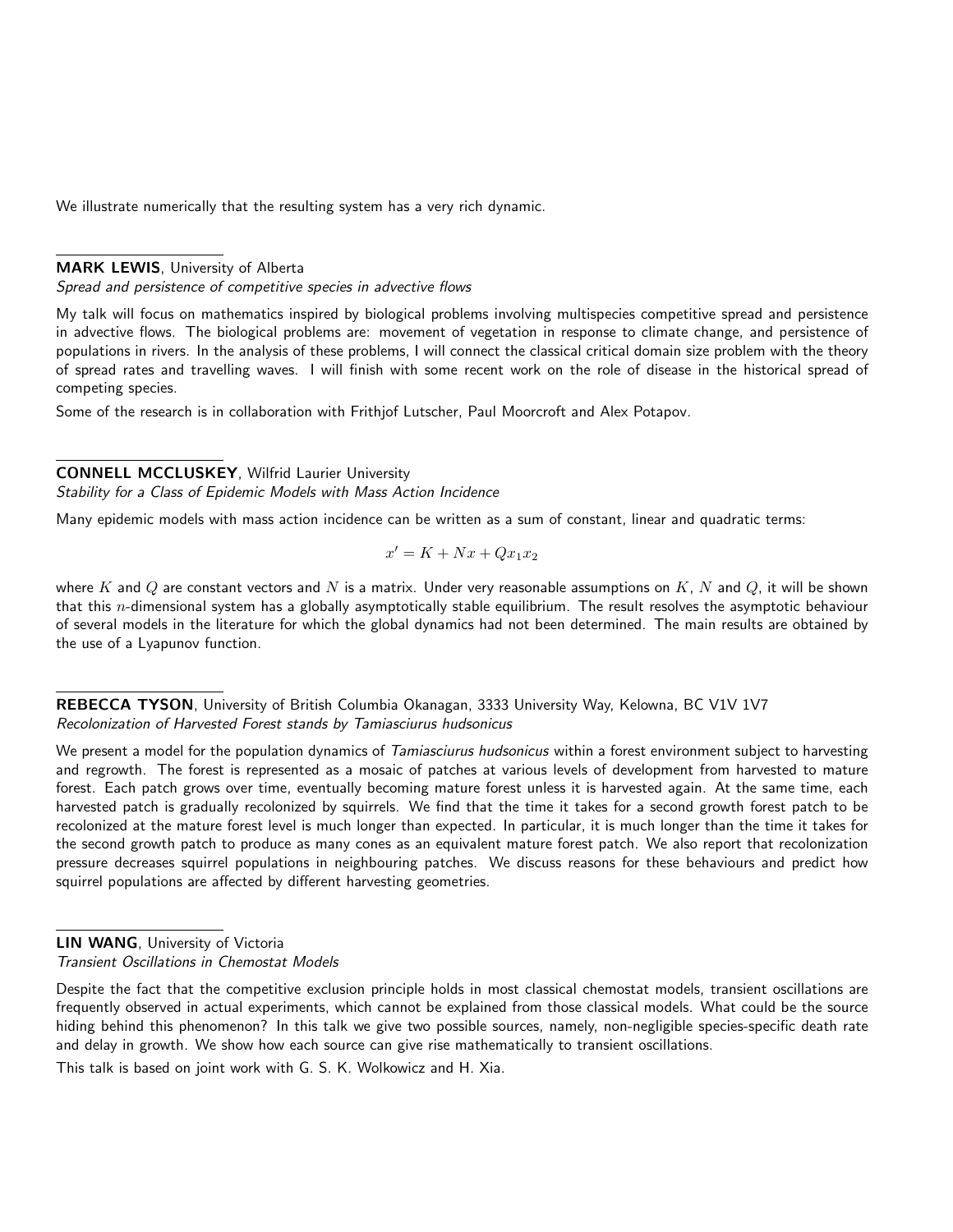We illustrate numerically that the resulting system has a very rich dynamic.

### MARK LEWIS, University of Alberta

Spread and persistence of competitive species in advective flows

My talk will focus on mathematics inspired by biological problems involving multispecies competitive spread and persistence in advective flows. The biological problems are: movement of vegetation in response to climate change, and persistence of populations in rivers. In the analysis of these problems, I will connect the classical critical domain size problem with the theory of spread rates and travelling waves. I will finish with some recent work on the role of disease in the historical spread of competing species.

Some of the research is in collaboration with Frithjof Lutscher, Paul Moorcroft and Alex Potapov.

#### CONNELL MCCLUSKEY, Wilfrid Laurier University

Stability for a Class of Epidemic Models with Mass Action Incidence

Many epidemic models with mass action incidence can be written as a sum of constant, linear and quadratic terms:

$$
x^\prime = K + Nx + Qx_1x_2
$$

where K and Q are constant vectors and N is a matrix. Under very reasonable assumptions on K, N and Q, it will be shown that this n-dimensional system has a globally asymptotically stable equilibrium. The result resolves the asymptotic behaviour of several models in the literature for which the global dynamics had not been determined. The main results are obtained by the use of a Lyapunov function.

REBECCA TYSON, University of British Columbia Okanagan, 3333 University Way, Kelowna, BC V1V 1V7 Recolonization of Harvested Forest stands by Tamiasciurus hudsonicus

We present a model for the population dynamics of Tamiasciurus hudsonicus within a forest environment subject to harvesting and regrowth. The forest is represented as a mosaic of patches at various levels of development from harvested to mature forest. Each patch grows over time, eventually becoming mature forest unless it is harvested again. At the same time, each harvested patch is gradually recolonized by squirrels. We find that the time it takes for a second growth forest patch to be recolonized at the mature forest level is much longer than expected. In particular, it is much longer than the time it takes for the second growth patch to produce as many cones as an equivalent mature forest patch. We also report that recolonization pressure decreases squirrel populations in neighbouring patches. We discuss reasons for these behaviours and predict how squirrel populations are affected by different harvesting geometries.

Despite the fact that the competitive exclusion principle holds in most classical chemostat models, transient oscillations are frequently observed in actual experiments, which cannot be explained from those classical models. What could be the source hiding behind this phenomenon? In this talk we give two possible sources, namely, non-negligible species-specific death rate and delay in growth. We show how each source can give rise mathematically to transient oscillations.

This talk is based on joint work with G. S. K. Wolkowicz and H. Xia.

LIN WANG, University of Victoria Transient Oscillations in Chemostat Models